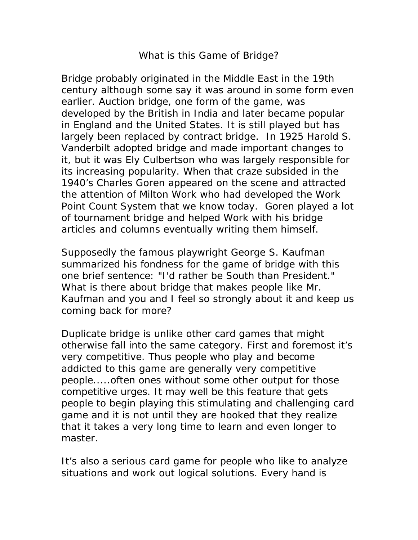## What is this Game of Bridge?

Bridge probably originated in the Middle East in the 19th century although some say it was around in some form even earlier. Auction bridge, one form of the game, was developed by the British in India and later became popular in England and the United States. It is still played but has largely been replaced by contract bridge. In 1925 Harold S. Vanderbilt adopted bridge and made important changes to it, but it was Ely Culbertson who was largely responsible for its increasing popularity. When that craze subsided in the 1940's Charles Goren appeared on the scene and attracted the attention of Milton Work who had developed the Work Point Count System that we know today. Goren played a lot of tournament bridge and helped Work with his bridge articles and columns eventually writing them himself.

Supposedly the famous playwright George S. Kaufman summarized his fondness for the game of bridge with this one brief sentence: "I'd rather be South than President." What is there about bridge that makes people like Mr. Kaufman and you and I feel so strongly about it and keep us coming back for more?

Duplicate bridge is unlike other card games that might otherwise fall into the same category. First and foremost it's very competitive. Thus people who play and become addicted to this game are generally very competitive people.....often ones without some other output for those competitive urges. It may well be this feature that gets people to begin playing this stimulating and challenging card game and it is not until they are hooked that they realize that it takes a very long time to learn and even longer to master.

It's also a serious card game for people who like to analyze situations and work out logical solutions. Every hand is